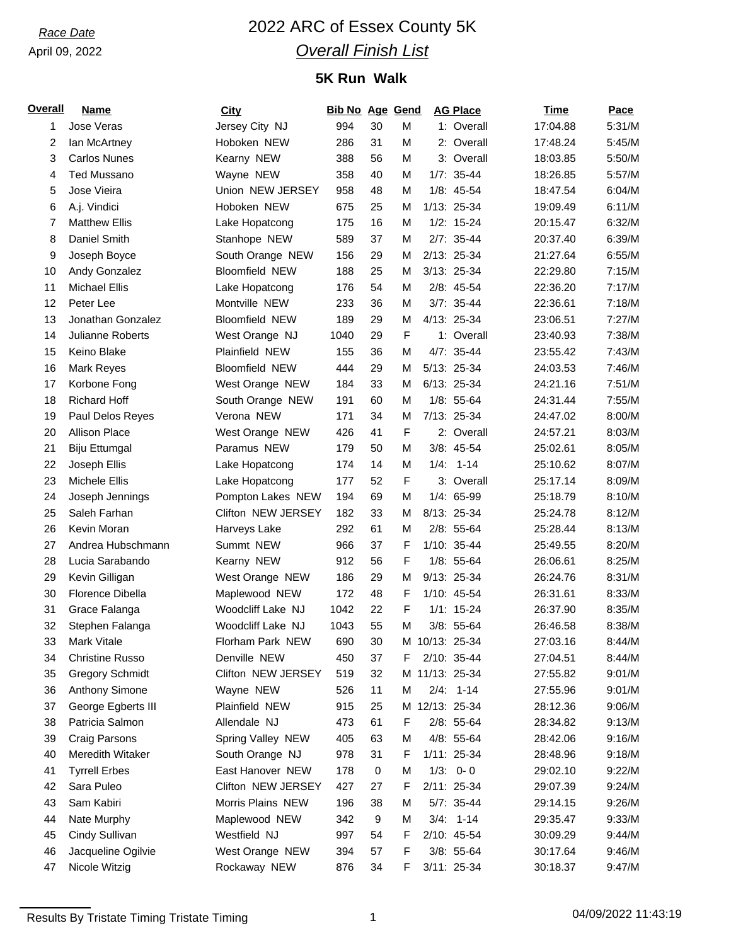### April 09, 2022

# *Race Date* 2022 ARC of Essex County 5K *Overall Finish List*

## **5K Run Walk**

| <b>Overall</b> | <b>Name</b>             | <b>City</b>           | <b>Bib No Age Gend</b> |    |   | <b>AG Place</b> | <b>Time</b> | Pace   |
|----------------|-------------------------|-----------------------|------------------------|----|---|-----------------|-------------|--------|
| 1              | Jose Veras              | Jersey City NJ        | 994                    | 30 | M | 1: Overall      | 17:04.88    | 5:31/M |
| 2              | lan McArtney            | Hoboken NEW           | 286                    | 31 | M | 2: Overall      | 17:48.24    | 5:45/M |
| 3              | <b>Carlos Nunes</b>     | Kearny NEW            | 388                    | 56 | M | 3: Overall      | 18:03.85    | 5:50/M |
| 4              | <b>Ted Mussano</b>      | Wayne NEW             | 358                    | 40 | M | $1/7: 35-44$    | 18:26.85    | 5:57/M |
| 5              | Jose Vieira             | Union NEW JERSEY      | 958                    | 48 | M | $1/8: 45-54$    | 18:47.54    | 6:04/M |
| 6              | A.j. Vindici            | Hoboken NEW           | 675                    | 25 | М | 1/13: 25-34     | 19:09.49    | 6:11/M |
| 7              | <b>Matthew Ellis</b>    | Lake Hopatcong        | 175                    | 16 | M | $1/2: 15-24$    | 20:15.47    | 6:32/M |
| 8              | Daniel Smith            | Stanhope NEW          | 589                    | 37 | М | $2/7: 35-44$    | 20:37.40    | 6:39/M |
| 9              | Joseph Boyce            | South Orange NEW      | 156                    | 29 | M | 2/13: 25-34     | 21:27.64    | 6:55/M |
| 10             | Andy Gonzalez           | <b>Bloomfield NEW</b> | 188                    | 25 | М | 3/13: 25-34     | 22:29.80    | 7:15/M |
| 11             | <b>Michael Ellis</b>    | Lake Hopatcong        | 176                    | 54 | М | 2/8: 45-54      | 22:36.20    | 7:17/M |
| 12             | Peter Lee               | Montville NEW         | 233                    | 36 | М | $3/7: 35-44$    | 22:36.61    | 7:18/M |
| 13             | Jonathan Gonzalez       | <b>Bloomfield NEW</b> | 189                    | 29 | M | 4/13: 25-34     | 23:06.51    | 7:27/M |
| 14             | Julianne Roberts        | West Orange NJ        | 1040                   | 29 | F | 1: Overall      | 23:40.93    | 7:38/M |
| 15             | Keino Blake             | Plainfield NEW        | 155                    | 36 | М | 4/7: 35-44      | 23:55.42    | 7:43/M |
| 16             | Mark Reyes              | <b>Bloomfield NEW</b> | 444                    | 29 | М | 5/13: 25-34     | 24:03.53    | 7:46/M |
| 17             | Korbone Fong            | West Orange NEW       | 184                    | 33 | M | 6/13: 25-34     | 24:21.16    | 7:51/M |
| 18             | <b>Richard Hoff</b>     | South Orange NEW      | 191                    | 60 | М | $1/8: 55-64$    | 24:31.44    | 7:55/M |
| 19             | Paul Delos Reyes        | Verona NEW            | 171                    | 34 | М | 7/13: 25-34     | 24:47.02    | 8:00/M |
| 20             | <b>Allison Place</b>    | West Orange NEW       | 426                    | 41 | F | 2: Overall      | 24:57.21    | 8:03/M |
| 21             | <b>Biju Ettumgal</b>    | Paramus NEW           | 179                    | 50 | M | 3/8: 45-54      | 25:02.61    | 8:05/M |
| 22             | Joseph Ellis            | Lake Hopatcong        | 174                    | 14 | M | $1/4: 1-14$     | 25:10.62    | 8:07/M |
| 23             | Michele Ellis           | Lake Hopatcong        | 177                    | 52 | F | 3: Overall      | 25:17.14    | 8:09/M |
| 24             | Joseph Jennings         | Pompton Lakes NEW     | 194                    | 69 | M | 1/4: 65-99      | 25:18.79    | 8:10/M |
| 25             | Saleh Farhan            | Clifton NEW JERSEY    | 182                    | 33 | М | 8/13: 25-34     | 25:24.78    | 8:12/M |
| 26             | Kevin Moran             | Harveys Lake          | 292                    | 61 | M | $2/8: 55-64$    | 25:28.44    | 8:13/M |
| 27             | Andrea Hubschmann       | Summt NEW             | 966                    | 37 | F | 1/10: 35-44     | 25:49.55    | 8:20/M |
| 28             | Lucia Sarabando         | Kearny NEW            | 912                    | 56 | F | 1/8: 55-64      | 26:06.61    | 8:25/M |
| 29             | Kevin Gilligan          | West Orange NEW       | 186                    | 29 | M | 9/13: 25-34     | 26:24.76    | 8:31/M |
| 30             | Florence Dibella        | Maplewood NEW         | 172                    | 48 | F | 1/10: 45-54     | 26:31.61    | 8:33/M |
| 31             | Grace Falanga           | Woodcliff Lake NJ     | 1042                   | 22 | F | $1/1: 15-24$    | 26:37.90    | 8:35/M |
| 32             | Stephen Falanga         | Woodcliff Lake NJ     | 1043                   | 55 | M | 3/8: 55-64      | 26:46.58    | 8:38/M |
| 33             | Mark Vitale             | Florham Park NEW      | 690                    | 30 |   | M 10/13: 25-34  | 27:03.16    | 8:44/M |
| 34             | <b>Christine Russo</b>  | Denville NEW          | 450                    | 37 | F | 2/10: 35-44     | 27:04.51    | 8:44/M |
| 35             | <b>Gregory Schmidt</b>  | Clifton NEW JERSEY    | 519                    | 32 |   | M 11/13: 25-34  | 27:55.82    | 9:01/M |
| 36             | Anthony Simone          | Wayne NEW             | 526                    | 11 | M | $2/4: 1-14$     | 27:55.96    | 9:01/M |
| 37             | George Egberts III      | Plainfield NEW        | 915                    | 25 |   | M 12/13: 25-34  | 28:12.36    | 9:06/M |
| 38             | Patricia Salmon         | Allendale NJ          | 473                    | 61 | F | 2/8: 55-64      | 28:34.82    | 9:13/M |
| 39             | <b>Craig Parsons</b>    | Spring Valley NEW     | 405                    | 63 | М | 4/8: 55-64      | 28:42.06    | 9:16/M |
| 40             | <b>Meredith Witaker</b> | South Orange NJ       | 978                    | 31 | F | 1/11: 25-34     | 28:48.96    | 9:18/M |
| 41             | <b>Tyrrell Erbes</b>    | East Hanover NEW      | 178                    | 0  | M | $1/3: 0-0$      | 29:02.10    | 9:22/M |
| 42             | Sara Puleo              | Clifton NEW JERSEY    | 427                    | 27 | F | 2/11: 25-34     | 29:07.39    | 9:24/M |
| 43             | Sam Kabiri              | Morris Plains NEW     | 196                    | 38 | M | 5/7: 35-44      | 29:14.15    | 9:26/M |
| 44             | Nate Murphy             | Maplewood NEW         | 342                    | 9  | М | $3/4: 1-14$     | 29:35.47    | 9:33/M |
| 45             | Cindy Sullivan          | Westfield NJ          | 997                    | 54 | F | 2/10: 45-54     | 30:09.29    | 9:44/M |
| 46             | Jacqueline Ogilvie      | West Orange NEW       | 394                    | 57 | F | 3/8: 55-64      | 30:17.64    | 9:46/M |
| 47             | Nicole Witzig           | Rockaway NEW          | 876                    | 34 | F | 3/11: 25-34     | 30:18.37    | 9:47/M |

Results By Tristate Timing Tristate Timing 1 04/09/2022 11:43:19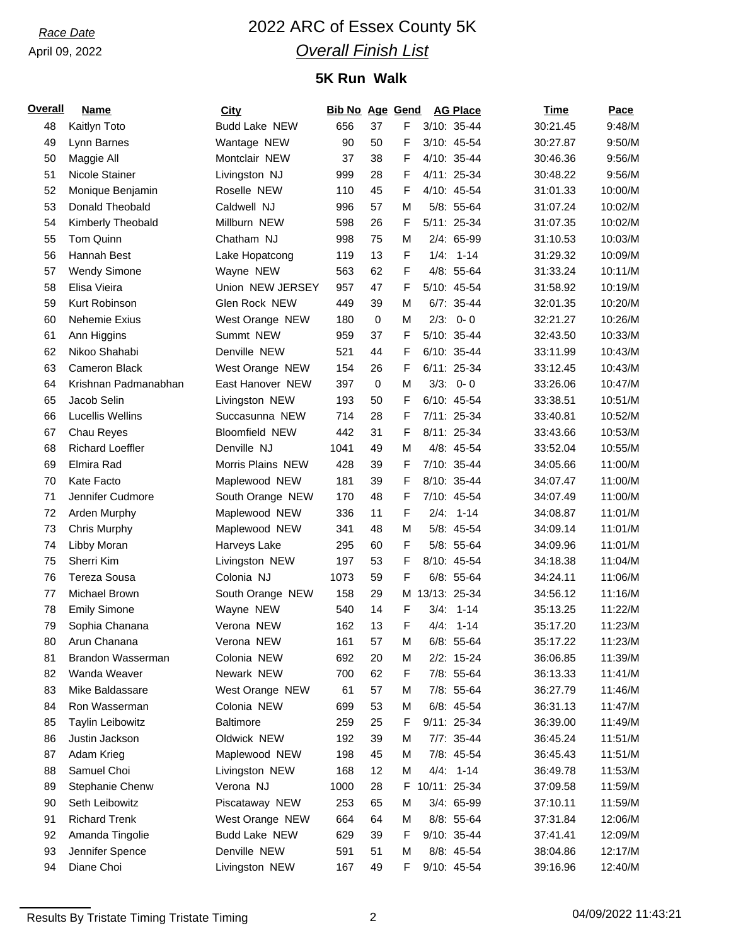### April 09, 2022

# *Race Date* 2022 ARC of Essex County 5K *Overall Finish List*

## **5K Run Walk**

| <b>Overall</b> | <b>Name</b>             | City                  | <b>Bib No Age Gend</b> |             |   | <b>AG Place</b> | <b>Time</b> | Pace    |
|----------------|-------------------------|-----------------------|------------------------|-------------|---|-----------------|-------------|---------|
| 48             | Kaitlyn Toto            | <b>Budd Lake NEW</b>  | 656                    | 37          | F | 3/10: 35-44     | 30:21.45    | 9:48/M  |
| 49             | Lynn Barnes             | Wantage NEW           | 90                     | 50          | F | 3/10: 45-54     | 30:27.87    | 9:50/M  |
| 50             | Maggie All              | Montclair NEW         | 37                     | 38          | F | 4/10: 35-44     | 30:46.36    | 9:56/M  |
| 51             | Nicole Stainer          | Livingston NJ         | 999                    | 28          | F | 4/11: 25-34     | 30:48.22    | 9:56/M  |
| 52             | Monique Benjamin        | Roselle NEW           | 110                    | 45          | F | 4/10: 45-54     | 31:01.33    | 10:00/M |
| 53             | Donald Theobald         | Caldwell NJ           | 996                    | 57          | M | 5/8: 55-64      | 31:07.24    | 10:02/M |
| 54             | Kimberly Theobald       | Millburn NEW          | 598                    | 26          | F | 5/11: 25-34     | 31:07.35    | 10:02/M |
| 55             | Tom Quinn               | Chatham NJ            | 998                    | 75          | M | 2/4: 65-99      | 31:10.53    | 10:03/M |
| 56             | Hannah Best             | Lake Hopatcong        | 119                    | 13          | F | $1/4: 1-14$     | 31:29.32    | 10:09/M |
| 57             | <b>Wendy Simone</b>     | Wayne NEW             | 563                    | 62          | F | 4/8: 55-64      | 31:33.24    | 10:11/M |
| 58             | Elisa Vieira            | Union NEW JERSEY      | 957                    | 47          | F | 5/10: 45-54     | 31:58.92    | 10:19/M |
| 59             | Kurt Robinson           | Glen Rock NEW         | 449                    | 39          | M | $6/7: 35-44$    | 32:01.35    | 10:20/M |
| 60             | Nehemie Exius           | West Orange NEW       | 180                    | $\mathbf 0$ | М | $2/3: 0 - 0$    | 32:21.27    | 10:26/M |
| 61             | Ann Higgins             | Summt NEW             | 959                    | 37          | F | 5/10: 35-44     | 32:43.50    | 10:33/M |
| 62             | Nikoo Shahabi           | Denville NEW          | 521                    | 44          | F | 6/10: 35-44     | 33:11.99    | 10:43/M |
| 63             | Cameron Black           | West Orange NEW       | 154                    | 26          | F | 6/11: 25-34     | 33:12.45    | 10:43/M |
| 64             | Krishnan Padmanabhan    | East Hanover NEW      | 397                    | $\mathbf 0$ | M | $3/3$ : 0-0     | 33:26.06    | 10:47/M |
| 65             | Jacob Selin             | Livingston NEW        | 193                    | 50          | F | 6/10: 45-54     | 33:38.51    | 10:51/M |
| 66             | <b>Lucellis Wellins</b> | Succasunna NEW        | 714                    | 28          | F | 7/11: 25-34     | 33:40.81    | 10:52/M |
| 67             | Chau Reyes              | <b>Bloomfield NEW</b> | 442                    | 31          | F | 8/11: 25-34     | 33:43.66    | 10:53/M |
| 68             | <b>Richard Loeffler</b> | Denville NJ           | 1041                   | 49          | M | 4/8: 45-54      | 33:52.04    | 10:55/M |
| 69             | Elmira Rad              | Morris Plains NEW     | 428                    | 39          | F | 7/10: 35-44     | 34:05.66    | 11:00/M |
| 70             | Kate Facto              | Maplewood NEW         | 181                    | 39          | F | 8/10: 35-44     | 34:07.47    | 11:00/M |
| 71             | Jennifer Cudmore        | South Orange NEW      | 170                    | 48          | F | 7/10: 45-54     | 34:07.49    | 11:00/M |
| 72             | Arden Murphy            | Maplewood NEW         | 336                    | 11          | F | $2/4: 1-14$     | 34:08.87    | 11:01/M |
| 73             | Chris Murphy            | Maplewood NEW         | 341                    | 48          | М | 5/8: 45-54      | 34:09.14    | 11:01/M |
| 74             | Libby Moran             | Harveys Lake          | 295                    | 60          | F | 5/8: 55-64      | 34:09.96    | 11:01/M |
| 75             | Sherri Kim              | Livingston NEW        | 197                    | 53          | F | 8/10: 45-54     | 34:18.38    | 11:04/M |
| 76             | Tereza Sousa            | Colonia NJ            | 1073                   | 59          | F | 6/8: 55-64      | 34:24.11    | 11:06/M |
| 77             | Michael Brown           | South Orange NEW      | 158                    | 29          | м | 13/13: 25-34    | 34:56.12    | 11:16/M |
| 78             | <b>Emily Simone</b>     | Wayne NEW             | 540                    | 14          | F | $3/4: 1-14$     | 35:13.25    | 11:22/M |
| 79             | Sophia Chanana          | Verona NEW            | 162                    | 13          | F | $4/4: 1-14$     | 35:17.20    | 11:23/M |
| 80             | Arun Chanana            | Verona NEW            | 161                    | 57          | M | $6/8: 55-64$    | 35:17.22    | 11:23/M |
| 81             | Brandon Wasserman       | Colonia NEW           | 692                    | 20          | M | $2/2: 15-24$    | 36:06.85    | 11:39/M |
| 82             | Wanda Weaver            | Newark NEW            | 700                    | 62          | F | 7/8: 55-64      | 36:13.33    | 11:41/M |
| 83             | Mike Baldassare         | West Orange NEW       | 61                     | 57          | M | 7/8: 55-64      | 36:27.79    | 11:46/M |
| 84             | Ron Wasserman           | Colonia NEW           | 699                    | 53          | M | 6/8: 45-54      | 36:31.13    | 11:47/M |
| 85             | <b>Taylin Leibowitz</b> | <b>Baltimore</b>      | 259                    | 25          | F | 9/11: 25-34     | 36:39.00    | 11:49/M |
| 86             | Justin Jackson          | Oldwick NEW           | 192                    | 39          | M | 7/7: 35-44      | 36:45.24    | 11:51/M |
| 87             | Adam Krieg              | Maplewood NEW         | 198                    | 45          | M | 7/8: 45-54      | 36:45.43    | 11:51/M |
| 88             | Samuel Choi             | Livingston NEW        | 168                    | 12          | M | $4/4$ : 1-14    | 36:49.78    | 11:53/M |
| 89             | Stephanie Chenw         | Verona NJ             | 1000                   | 28          |   | F 10/11: 25-34  | 37:09.58    | 11:59/M |
| 90             | Seth Leibowitz          | Piscataway NEW        | 253                    | 65          | M | 3/4: 65-99      | 37:10.11    | 11:59/M |
| 91             | <b>Richard Trenk</b>    | West Orange NEW       | 664                    | 64          | M | 8/8: 55-64      | 37:31.84    | 12:06/M |
| 92             | Amanda Tingolie         | <b>Budd Lake NEW</b>  | 629                    | 39          | F | 9/10: 35-44     | 37:41.41    | 12:09/M |
| 93             | Jennifer Spence         | Denville NEW          | 591                    | 51          | M | 8/8: 45-54      | 38:04.86    | 12:17/M |
| 94             | Diane Choi              | Livingston NEW        | 167                    | 49          | F | 9/10: 45-54     | 39:16.96    | 12:40/M |

Results By Tristate Timing Tristate Timing 2 04/09/2022 11:43:21